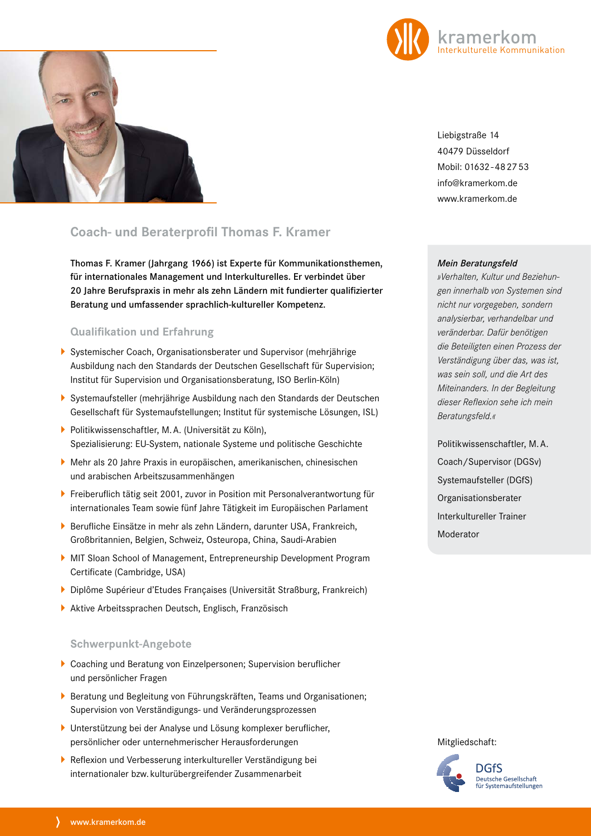



Liebigstraße 14 40479 Düsseldorf Mobil: 01632-482753 info@kramerkom.de www.kramerkom.de

# **Coach- und Beraterprofil Thomas F. Kramer**

Thomas F. Kramer (Jahrgang 1966) ist Experte für Kommunikationsthemen, für internationales Management und Interkulturelles. Er verbindet über 20 Jahre Berufspraxis in mehr als zehn Ländern mit fundierter qualifizierter Beratung und umfassender sprachlich-kultureller Kompetenz.

### **Qualifikation und Erfahrung**

- Systemischer Coach, Organisationsberater und Supervisor (mehrjährige Ausbildung nach den Standards der Deutschen Gesellschaft für Supervision; Institut für Supervision und Organisationsberatung, ISO Berlin-Köln)
- Systemaufsteller (mehrjährige Ausbildung nach den Standards der Deutschen Gesellschaft für Systemaufstellungen; Institut für systemische Lösungen, ISL)
- ▶ Politikwissenschaftler, M.A. (Universität zu Köln), Spezialisierung: EU-System, nationale Systeme und politische Geschichte
- Mehr als 20 Jahre Praxis in europäischen, amerikanischen, chinesischen und arabischen Arbeitszusammenhängen
- Freiberuflich tätig seit 2001, zuvor in Position mit Personalverantwortung für internationales Team sowie fünf Jahre Tätigkeit im Europäischen Parlament
- Berufliche Einsätze in mehr als zehn Ländern, darunter USA, Frankreich, Großbritannien, Belgien, Schweiz, Osteuropa, China, Saudi-Arabien
- MIT Sloan School of Management, Entrepreneurship Development Program Certificate (Cambridge, USA)
- Diplôme Supérieur d'Etudes Françaises (Universität Straßburg, Frankreich)
- Aktive Arbeitssprachen Deutsch, Englisch, Französisch

### **Schwerpunkt-Angebote**

- Coaching und Beratung von Einzelpersonen; Supervision beruflicher und persönlicher Fragen
- Beratung und Begleitung von Führungskräften, Teams und Organisationen; Supervision von Verständigungs- und Veränderungsprozessen
- Unterstützung bei der Analyse und Lösung komplexer beruflicher, persönlicher oder unternehmerischer Herausforderungen
- Reflexion und Verbesserung interkultureller Verständigung bei internationaler bzw. kulturübergreifender Zusammenarbeit

#### *Mein Beratungsfeld*

*»Verhalten, Kultur und Beziehungen innerhalb von Systemen sind nicht nur vorgegeben, sondern analysierbar, verhandelbar und veränderbar. Dafür benötigen die Beteiligten einen Prozess der Verständigung über das, was ist, was sein soll, und die Art des Miteinanders. In der Begleitung dieser Reflexion sehe ich mein Beratungsfeld.«*

Politikwissenschaftler, M.A. Coach/Supervisor (DGSv) Systemaufsteller (DGfS) Organisationsberater Interkultureller Trainer Moderator

Mitgliedschaft:

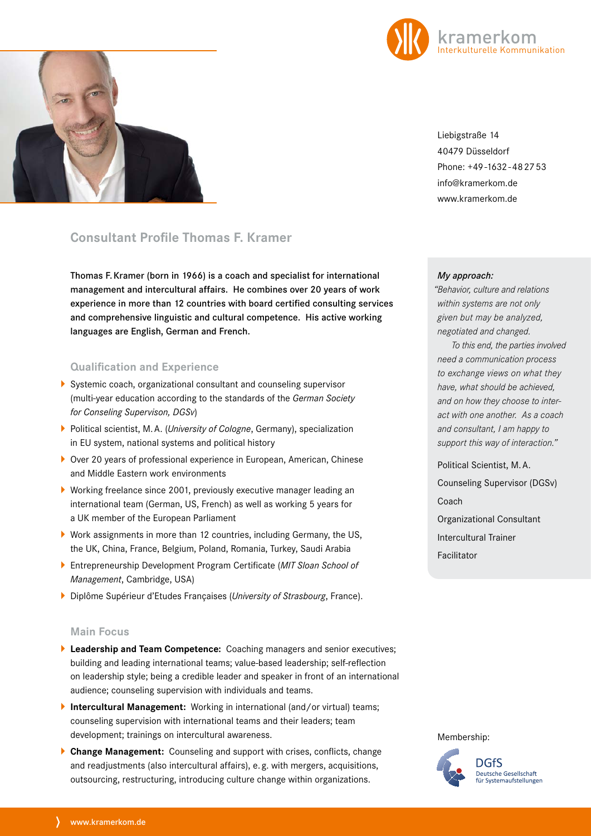



Liebigstraße 14 40479 Düsseldorf Phone: +49-1632-482753 info@kramerkom.de www.kramerkom.de

# **Consultant Profile Thomas F. Kramer**

Thomas F.Kramer (born in 1966) is a coach and specialist for international management and intercultural affairs. He combines over 20 years of work experience in more than 12 countries with board certified consulting services and comprehensive linguistic and cultural competence. His active working languages are English, German and French.

## **Qualification and Experience**

- Systemic coach, organizational consultant and counseling supervisor (multi-year education according to the standards of the *German Society for Conseling Supervison, DGSv*)
- Political scientist, M.A. (*University of Cologne*, Germany), specialization in EU system, national systems and political history
- ▶ Over 20 years of professional experience in European, American, Chinese and Middle Eastern work environments
- Working freelance since 2001, previously executive manager leading an international team (German, US, French) as well as working 5 years for a UK member of the European Parliament
- Work assignments in more than 12 countries, including Germany, the US, the UK, China, France, Belgium, Poland, Romania, Turkey, Saudi Arabia
- Entrepreneurship Development Program Certificate (*MIT Sloan School of Management*, Cambridge, USA)
- Diplôme Supérieur d'Etudes Françaises (*University of Strasbourg*, France).

### **Main Focus**

- **Leadership and Team Competence:** Coaching managers and senior executives; building and leading international teams; value-based leadership; self-reflection on leadership style; being a credible leader and speaker in front of an international audience; counseling supervision with individuals and teams.
- **Intercultural Management:** Working in international (and/or virtual) teams; counseling supervision with international teams and their leaders; team development; trainings on intercultural awareness.
- **Change Management:** Counseling and support with crises, conflicts, change and readjustments (also intercultural affairs), e. g. with mergers, acquisitions, outsourcing, restructuring, introducing culture change within organizations.

*My approach:*

 *"Behavior, culture and relations within systems are not only given but may be analyzed, negotiated and changed.* 

*To this end, the parties involved need a communication process to exchange views on what they have, what should be achieved, and on how they choose to interact with one another. As a coach and consultant, I am happy to support this way of interaction."*

Political Scientist, M.A. Counseling Supervisor (DGSv) Coach Organizational Consultant Intercultural Trainer

Facilitator

Membership: